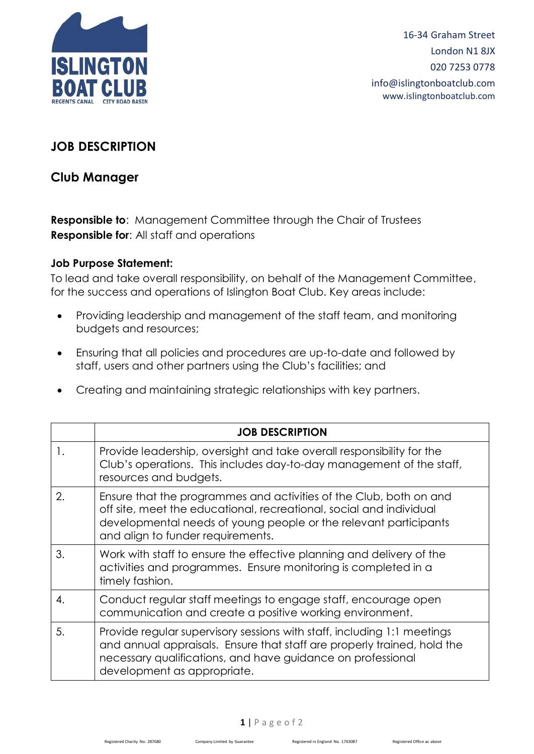

16-34 Graham Street London N1 8JX 020 7253 0778 info@islingtonboatclub.com www.islingtonboatclub.com

## **JOB DESCRIPTION**

## **Club Manager**

**Responsible to**: Management Committee through the Chair of Trustees **Responsible for**: All staff and operations

## **Job Purpose Statement:**

To lead and take overall responsibility, on behalf of the Management Committee, for the success and operations of Islington Boat Club. Key areas include:

- Providing leadership and management of the staff team, and monitoring budgets and resources;
- Ensuring that all policies and procedures are up-to-date and followed by staff, users and other partners using the Club's facilities; and
- Creating and maintaining strategic relationships with key partners.

|                | <b>JOB DESCRIPTION</b>                                                                                                                                                                                                                             |
|----------------|----------------------------------------------------------------------------------------------------------------------------------------------------------------------------------------------------------------------------------------------------|
| $\mathbf{1}$ . | Provide leadership, oversight and take overall responsibility for the<br>Club's operations. This includes day-to-day management of the staff,<br>resources and budgets.                                                                            |
| 2.             | Ensure that the programmes and activities of the Club, both on and<br>off site, meet the educational, recreational, social and individual<br>developmental needs of young people or the relevant participants<br>and align to funder requirements. |
| 3.             | Work with staff to ensure the effective planning and delivery of the<br>activities and programmes. Ensure monitoring is completed in a<br>timely fashion.                                                                                          |
| 4.             | Conduct regular staff meetings to engage staff, encourage open<br>communication and create a positive working environment.                                                                                                                         |
| 5.             | Provide regular supervisory sessions with staff, including 1:1 meetings<br>and annual appraisals. Ensure that staff are properly trained, hold the<br>necessary qualifications, and have guidance on professional<br>development as appropriate.   |